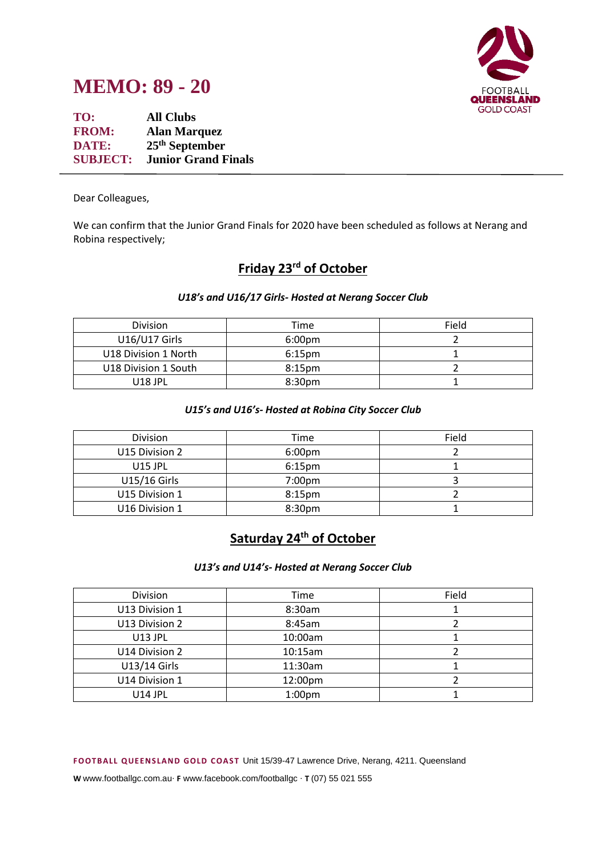



**TO: All Clubs FROM: Alan Marquez DATE: 25th September SUBJECT: Junior Grand Finals**

Dear Colleagues,

We can confirm that the Junior Grand Finals for 2020 have been scheduled as follows at Nerang and Robina respectively;

# **Friday 23rd of October**

## *U18's and U16/17 Girls- Hosted at Nerang Soccer Club*

| <b>Division</b>      | Time               | Field |
|----------------------|--------------------|-------|
| U16/U17 Girls        | 6:00 <sub>pm</sub> |       |
| U18 Division 1 North | $6:15$ pm          |       |
| U18 Division 1 South | $8:15$ pm          |       |
| U18 JPL              | 8:30 <sub>pm</sub> |       |

### *U15's and U16's- Hosted at Robina City Soccer Club*

| <b>Division</b>     | Time               | Field |
|---------------------|--------------------|-------|
| U15 Division 2      | 6:00 <sub>pm</sub> |       |
| $U15$ JPL           | 6:15 <sub>pm</sub> |       |
| <b>U15/16 Girls</b> | 7:00 <sub>pm</sub> |       |
| U15 Division 1      | 8:15 <sub>pm</sub> |       |
| U16 Division 1      | 8:30pm             |       |

# **Saturday 24th of October**

### *U13's and U14's- Hosted at Nerang Soccer Club*

| Division       | Time               | Field |
|----------------|--------------------|-------|
| U13 Division 1 | 8:30am             |       |
| U13 Division 2 | 8:45am             |       |
| <b>U13 JPL</b> | 10:00am            |       |
| U14 Division 2 | 10:15am            |       |
| U13/14 Girls   | 11:30am            |       |
| U14 Division 1 | 12:00pm            |       |
| <b>U14 JPL</b> | 1:00 <sub>pm</sub> |       |

**F OOTB ALL Q UE EN S LAN D GOLD C OAS T** Unit 15/39-47 Lawrence Drive, Nerang, 4211. Queensland

**W** www.footballgc.com.au. **F** www.facebook.com/footballgc . **T** (07) 55 021 555